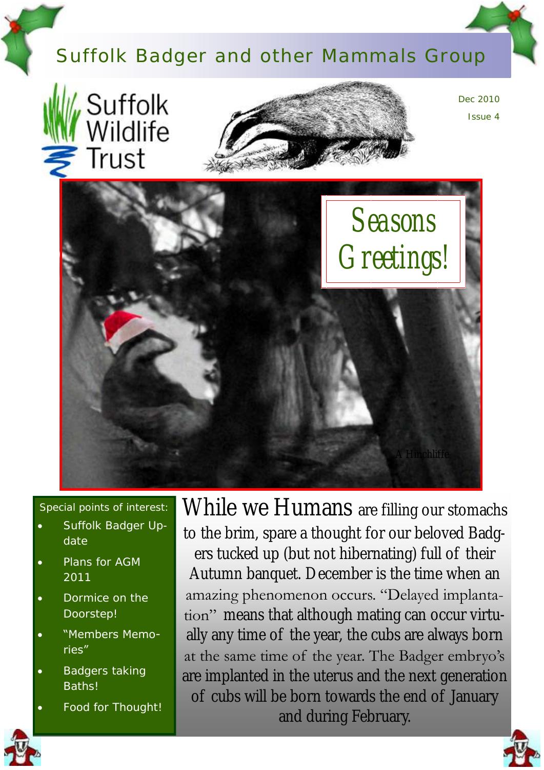# Suffolk Badger and other Mammals Group





Dec 2010 Issue 4



Special points of interest:

- Suffolk Badger Update
- Plans for AGM 2011
- Dormice on the Doorstep!
- "Members Memories"
- Badgers taking Baths!
- Food for Thought!

While we Humans are filling our stomachs to the brim, spare a thought for our beloved Badgers tucked up (but not hibernating) full of their Autumn banquet. December is the time when an amazing phenomenon occurs. "Delayed implantation" means that although mating can occur virtually any time of the year, the cubs are always born at the same time of the year. The Badger embryo"s are implanted in the uterus and the next generation of cubs will be born towards the end of January and during February.



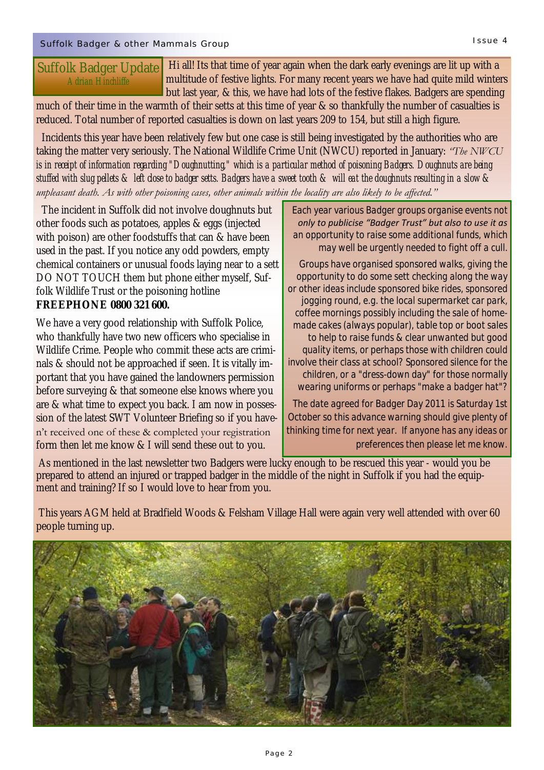much of their time in the warmth of their setts at this time of year & so thankfully the number of casualties is reduced. Total number of reported casualties is down on last years 209 to 154, but still a high figure.

 Incidents this year have been relatively few but one case is still being investigated by the authorities who are taking the matter very seriously. The National Wildlife Crime Unit (NWCU) reported in January: *"The NWCU is in receipt of information regarding "Doughnutting," which is a particular method of poisoning Badgers. Doughnuts are being stuffed with slug pellets & left close to badger setts. Badgers have a sweet tooth & will eat the doughnuts resulting in a slow & unpleasant death. As with other poisoning cases, other animals within the locality are also likely to be affected."*

 The incident in Suffolk did not involve doughnuts but other foods such as potatoes, apples & eggs (injected with poison) are other foodstuffs that can & have been used in the past. If you notice any odd powders, empty chemical containers or unusual foods laying near to a sett DO NOT TOUCH them but phone either myself, Suffolk Wildlife Trust or the poisoning hotline **FREEPHONE 0800 321 600.** 

We have a very good relationship with Suffolk Police, who thankfully have two new officers who specialise in Wildlife Crime. People who commit these acts are criminals & should not be approached if seen. It is vitally important that you have gained the landowners permission before surveying & that someone else knows where you are & what time to expect you back. I am now in possession of the latest SWT Volunteer Briefing so if you haven"t received one of these & completed your registration form then let me know & I will send these out to you.

 *Each year various Badger groups organise events not only to publicise "Badger Trust" but also to use it as an opportunity to raise some additional funds, which may well be urgently needed to fight off a cull.*

*Groups have organised sponsored walks, giving the opportunity to do some sett checking along the way or other ideas include sponsored bike rides, sponsored jogging round, e.g. the local supermarket car park, coffee mornings possibly including the sale of homemade cakes (always popular), table top or boot sales to help to raise funds & clear unwanted but good quality items, or perhaps those with children could involve their class at school? Sponsored silence for the children, or a "dress-down day" for those normally wearing uniforms or perhaps "make a badger hat"?*

*The date agreed for Badger Day 2011 is Saturday 1st October so this advance warning should give plenty of thinking time for next year. If anyone has any ideas or preferences then please let me know.*

As mentioned in the last newsletter two Badgers were lucky enough to be rescued this year - would you be prepared to attend an injured or trapped badger in the middle of the night in Suffolk if you had the equipment and training? If so I would love to hear from you.

This years AGM held at Bradfield Woods & Felsham Village Hall were again very well attended with over 60 people turning up.

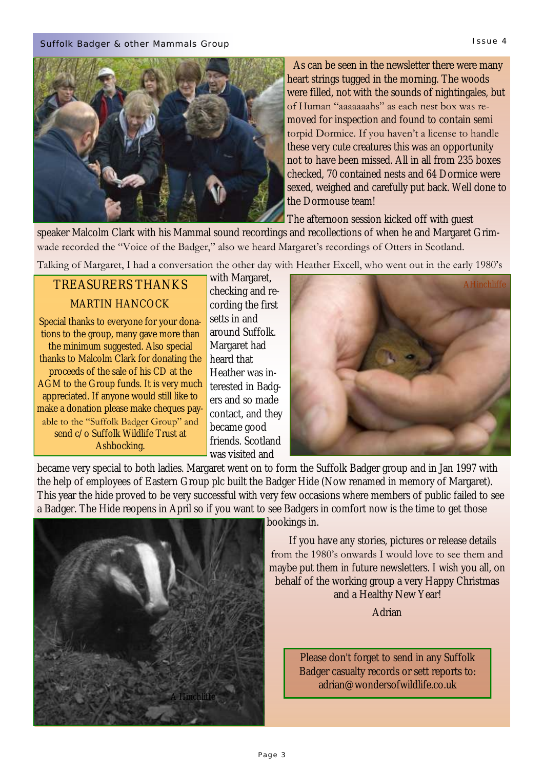

 As can be seen in the newsletter there were many heart strings tugged in the morning. The woods were filled, not with the sounds of nightingales, but of Human "aaaaaaahs" as each nest box was removed for inspection and found to contain semi torpid Dormice. If you haven't a license to handle these very cute creatures this was an opportunity not to have been missed. All in all from 235 boxes checked, 70 contained nests and 64 Dormice were sexed, weighed and carefully put back. Well done to the Dormouse team!

The afternoon session kicked off with guest

speaker Malcolm Clark with his Mammal sound recordings and recollections of when he and Margaret Grimwade recorded the "Voice of the Badger," also we heard Margaret's recordings of Otters in Scotland.

Talking of Margaret, I had a conversation the other day with Heather Excell, who went out in the early 1980"s

## TREASURERS THANKS MARTIN HANCOCK

Special thanks to everyone for your donations to the group, many gave more than the minimum suggested. Also special thanks to Malcolm Clark for donating the proceeds of the sale of his CD at the AGM to the Group funds. It is very much appreciated. If anyone would still like to make a donation please make cheques payable to the "Suffolk Badger Group" and send c/o Suffolk Wildlife Trust at Ashbocking.

with Margaret, checking and recording the first setts in and around Suffolk. Margaret had heard that Heather was interested in Badgers and so made contact, and they became good friends. Scotland was visited and



became very special to both ladies. Margaret went on to form the Suffolk Badger group and in Jan 1997 with the help of employees of Eastern Group plc built the Badger Hide (Now renamed in memory of Margaret). This year the hide proved to be very successful with very few occasions where members of public failed to see a Badger. The Hide reopens in April so if you want to see Badgers in comfort now is the time to get those



bookings in.

 If you have any stories, pictures or release details from the 1980"s onwards I would love to see them and maybe put them in future newsletters. I wish you all, on behalf of the working group a very Happy Christmas and a Healthy New Year!

Adrian

Please don't forget to send in any Suffolk Badger casualty records or sett reports to: adrian@wondersofwildlife.co.uk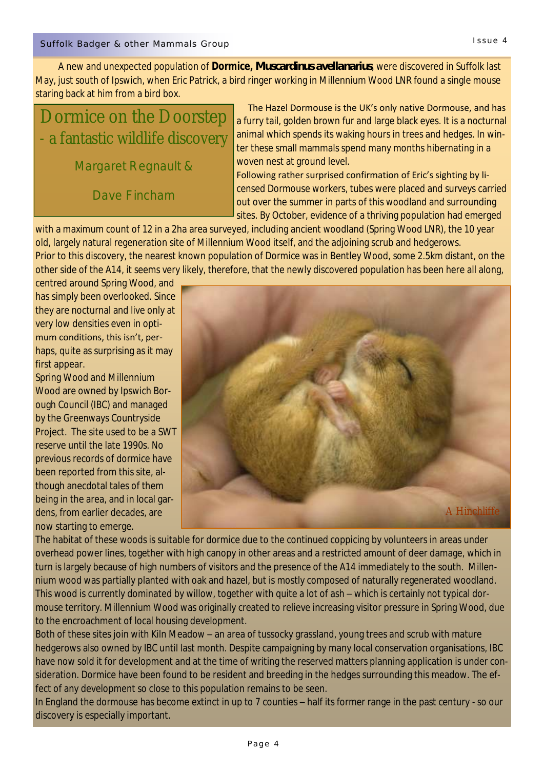Dormice on the Doorstep - a fantastic wildlife discovery

Margaret Regnault &

Dave Fincham

 The Hazel Dormouse is the UK's only native Dormouse, and has a furry tail, golden brown fur and large black eyes. It is a nocturnal animal which spends its waking hours in trees and hedges. In winter these small mammals spend many months hibernating in a woven nest at ground level.

Following rather surprised confirmation of Eric's sighting by licensed Dormouse workers, tubes were placed and surveys carried out over the summer in parts of this woodland and surrounding sites. By October, evidence of a thriving population had emerged

with a maximum count of 12 in a 2ha area surveyed, including ancient woodland (Spring Wood LNR), the 10 year old, largely natural regeneration site of Millennium Wood itself, and the adjoining scrub and hedgerows. Prior to this discovery, the nearest known population of Dormice was in Bentley Wood, some 2.5km distant, on the other side of the A14, it seems very likely, therefore, that the newly discovered population has been here all along,

centred around Spring Wood, and has simply been overlooked. Since they are nocturnal and live only at very low densities even in opti-

mum conditions, this isn't, perhaps, quite as surprising as it may first appear.

Spring Wood and Millennium Wood are owned by Ipswich Borough Council (IBC) and managed by the Greenways Countryside Project. The site used to be a SWT reserve until the late 1990s. No previous records of dormice have been reported from this site, although anecdotal tales of them being in the area, and in local gardens, from earlier decades, are now starting to emerge.



The habitat of these woods is suitable for dormice due to the continued coppicing by volunteers in areas under overhead power lines, together with high canopy in other areas and a restricted amount of deer damage, which in turn is largely because of high numbers of visitors and the presence of the A14 immediately to the south. Millennium wood was partially planted with oak and hazel, but is mostly composed of naturally regenerated woodland. This wood is currently dominated by willow, together with quite a lot of ash – which is certainly not typical dormouse territory. Millennium Wood was originally created to relieve increasing visitor pressure in Spring Wood, due to the encroachment of local housing development.

Both of these sites join with Kiln Meadow – an area of tussocky grassland, young trees and scrub with mature hedgerows also owned by IBC until last month. Despite campaigning by many local conservation organisations, IBC have now sold it for development and at the time of writing the reserved matters planning application is under consideration. Dormice have been found to be resident and breeding in the hedges surrounding this meadow. The effect of any development so close to this population remains to be seen.

In England the dormouse has become extinct in up to 7 counties – half its former range in the past century - so our discovery is especially important.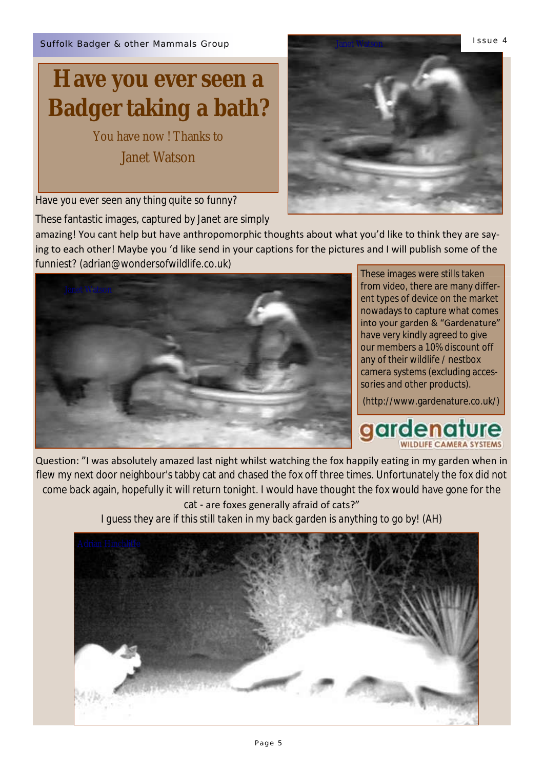# **Have you ever seen a Badger taking a bath?**

You have now ! Thanks to

Janet Watson

Have you ever seen any thing quite so funny?

These fantastic images, captured by Janet are simply

amazing! You cant help but have anthropomorphic thoughts about what you'd like to think they are saying to each other! Maybe you 'd like send in your captions for the pictures and I will publish some of the funniest? (adrian@wondersofwildlife.co.uk)

These images were stills taken from video, there are many different types of device on the market nowadays to capture what comes into your garden & "Gardenature" have very kindly agreed to give our members a 10% discount off any of their wildlife / nestbox camera systems (excluding accessories and other products).

(http://www.gardenature.co.uk/)

**gardenature** 

Question: "I was absolutely amazed last night whilst watching the fox happily eating in my garden when in flew my next door neighbour's tabby cat and chased the fox off three times. Unfortunately the fox did not come back again, hopefully it will return tonight. I would have thought the fox would have gone for the cat - are foxes generally afraid of cats?"

*I guess they are if this still taken in my back garden is anything to go by! (AH)*



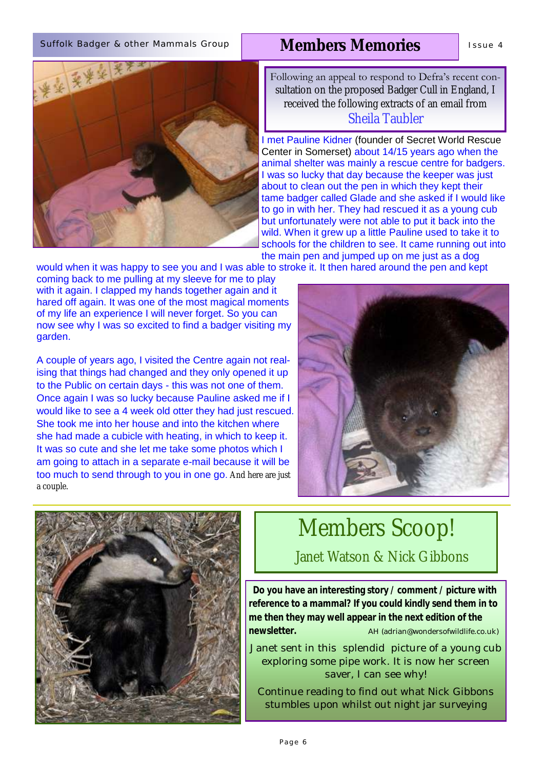### Suffolk Badger & other Mammals Group | MAmbers Memories | Issue 4

# 安全要送来

## **Members Memories**

Following an appeal to respond to Defra's recent consultation on the proposed Badger Cull in England, I received the following extracts of an email from Sheila Taubler

I met Pauline Kidner (founder of Secret World Rescue Center in Somerset) about 14/15 years ago when the animal shelter was mainly a rescue centre for badgers. I was so lucky that day because the keeper was just about to clean out the pen in which they kept their tame badger called Glade and she asked if I would like to go in with her. They had rescued it as a young cub but unfortunately were not able to put it back into the wild. When it grew up a little Pauline used to take it to schools for the children to see. It came running out into the main pen and jumped up on me just as a dog

would when it was happy to see you and I was able to stroke it. It then hared around the pen and kept

coming back to me pulling at my sleeve for me to play with it again. I clapped my hands together again and it hared off again. It was one of the most magical moments of my life an experience I will never forget. So you can now see why I was so excited to find a badger visiting my garden.

A couple of years ago, I visited the Centre again not realising that things had changed and they only opened it up to the Public on certain days - this was not one of them. Once again I was so lucky because Pauline asked me if I would like to see a 4 week old otter they had just rescued. She took me into her house and into the kitchen where she had made a cubicle with heating, in which to keep it. It was so cute and she let me take some photos which I am going to attach in a separate e-mail because it will be too much to send through to you in one go. And here are just a couple.





## Members Scoop!

Janet Watson & Nick Gibbons

 **Do you have an interesting story / comment / picture with reference to a mammal? If you could kindly send them in to me then they may well appear in the next edition of the newsletter.**<br> **AH** (adrian@wondersofwildlife.co.uk)

Janet sent in this splendid picture of a young cub exploring some pipe work. It is now her screen saver, I can see why!

Continue reading to find out what Nick Gibbons stumbles upon whilst out night jar surveying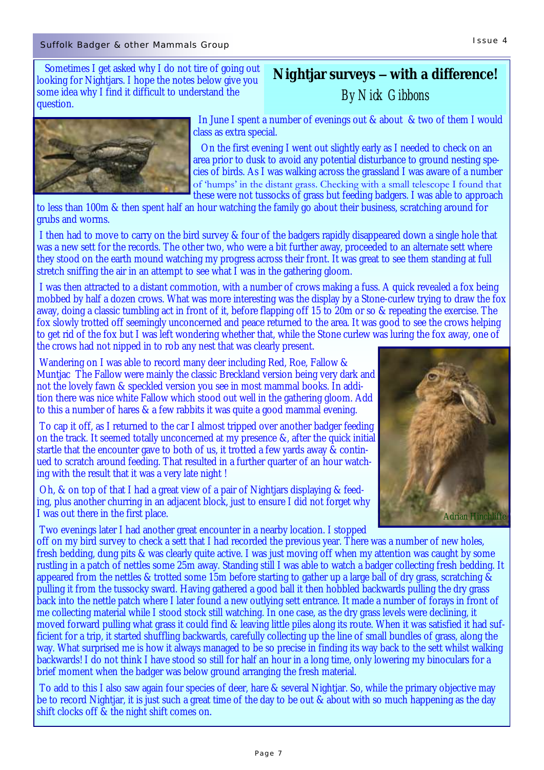Sometimes I get asked why I do not tire of going out looking for Nightjars. I hope the notes below give you some idea why I find it difficult to understand the question.

## **Nightjar surveys – with a difference!** *By Nick Gibbons*



 In June I spent a number of evenings out & about & two of them I would class as extra special.

 On the first evening I went out slightly early as I needed to check on an area prior to dusk to avoid any potential disturbance to ground nesting species of birds. As I was walking across the grassland I was aware of a number of "humps" in the distant grass. Checking with a small telescope I found that these were not tussocks of grass but feeding badgers. I was able to approach

to less than 100m & then spent half an hour watching the family go about their business, scratching around for grubs and worms.

I then had to move to carry on the bird survey & four of the badgers rapidly disappeared down a single hole that was a new sett for the records. The other two, who were a bit further away, proceeded to an alternate sett where they stood on the earth mound watching my progress across their front. It was great to see them standing at full stretch sniffing the air in an attempt to see what I was in the gathering gloom.

I was then attracted to a distant commotion, with a number of crows making a fuss. A quick revealed a fox being mobbed by half a dozen crows. What was more interesting was the display by a Stone-curlew trying to draw the fox away, doing a classic tumbling act in front of it, before flapping off 15 to 20m or so & repeating the exercise. The fox slowly trotted off seemingly unconcerned and peace returned to the area. It was good to see the crows helping to get rid of the fox but I was left wondering whether that, while the Stone curlew was luring the fox away, one of the crows had not nipped in to rob any nest that was clearly present.

Wandering on I was able to record many deer including Red, Roe, Fallow & Muntjac The Fallow were mainly the classic Breckland version being very dark and not the lovely fawn & speckled version you see in most mammal books. In addition there was nice white Fallow which stood out well in the gathering gloom. Add to this a number of hares & a few rabbits it was quite a good mammal evening.

To cap it off, as I returned to the car I almost tripped over another badger feeding on the track. It seemed totally unconcerned at my presence &, after the quick initial startle that the encounter gave to both of us, it trotted a few yards away & continued to scratch around feeding. That resulted in a further quarter of an hour watching with the result that it was a very late night !

Oh, & on top of that I had a great view of a pair of Nightjars displaying & feeding, plus another churring in an adjacent block, just to ensure I did not forget why I was out there in the first place.

Two evenings later I had another great encounter in a nearby location. I stopped



off on my bird survey to check a sett that I had recorded the previous year. There was a number of new holes, fresh bedding, dung pits & was clearly quite active. I was just moving off when my attention was caught by some rustling in a patch of nettles some 25m away. Standing still I was able to watch a badger collecting fresh bedding. It appeared from the nettles & trotted some 15m before starting to gather up a large ball of dry grass, scratching & pulling it from the tussocky sward. Having gathered a good ball it then hobbled backwards pulling the dry grass back into the nettle patch where I later found a new outlying sett entrance. It made a number of forays in front of me collecting material while I stood stock still watching. In one case, as the dry grass levels were declining, it moved forward pulling what grass it could find & leaving little piles along its route. When it was satisfied it had sufficient for a trip, it started shuffling backwards, carefully collecting up the line of small bundles of grass, along the way. What surprised me is how it always managed to be so precise in finding its way back to the sett whilst walking backwards! I do not think I have stood so still for half an hour in a long time, only lowering my binoculars for a brief moment when the badger was below ground arranging the fresh material.

To add to this I also saw again four species of deer, hare & several Nightjar. So, while the primary objective may be to record Nightjar, it is just such a great time of the day to be out & about with so much happening as the day shift clocks off & the night shift comes on.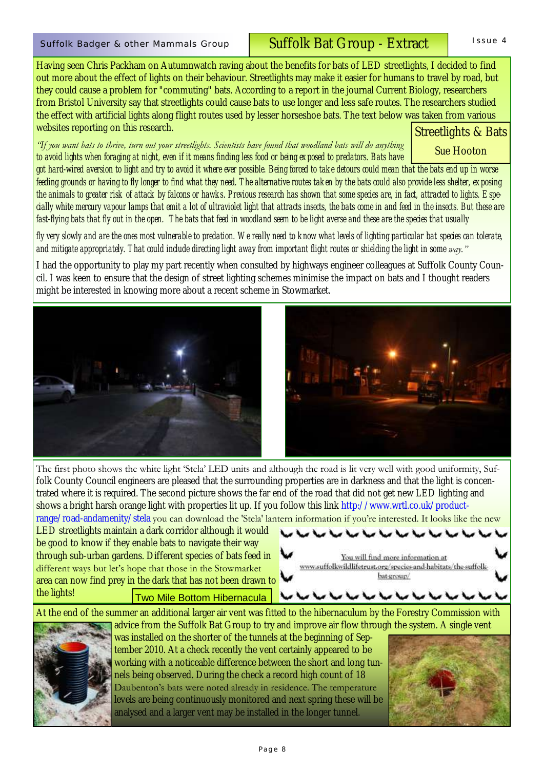## Suffolk Badger & other Mammals Group I I Suffolk Bat Group - Extract I Issue 4

Having seen Chris Packham on Autumnwatch raving about the benefits for bats of LED streetlights, I decided to find out more about the effect of lights on their behaviour. Streetlights may make it easier for humans to travel by road, but they could cause a problem for "commuting" bats. According to a report in the journal Current Biology, researchers from Bristol University say that streetlights could cause bats to use longer and less safe routes. The researchers studied the effect with artificial lights along flight routes used by lesser horseshoe bats. The text below was taken from various websites reporting on this research.

*"If you want bats to thrive, turn out your streetlights. Scientists have found that woodland bats will do anything to avoid lights when foraging at night, even if it means finding less food or being exposed to predators. Bats have* 

Streetlights & Bats Sue Hooton

*got hard-wired aversion to light and try to avoid it where ever possible. Being forced to take detours could mean that the bats end up in worse feeding grounds or having to fly longer to find what they need. The alternative routes taken by the bats could also provide less shelter, exposing the animals to greater risk of attack by falcons or hawks*. *Previous research has shown that some species are, in fact, attracted to lights. Especially white mercury vapour lamps that emit a lot of ultraviolet light that attracts insects, the bats come in and feed in the insects. But these are fast-flying bats that fly out in the open. The bats that feed in woodland seem to be light averse and these are the species that usually*

*fly very slowly and are the ones most vulnerable to predation. We really need to know what levels of lighting particular bat species can tolerate, and mitigate appropriately. That could include directing light away from important flight routes or shielding the light in some way."*

I had the opportunity to play my part recently when consulted by highways engineer colleagues at Suffolk County Council. I was keen to ensure that the design of street lighting schemes minimise the impact on bats and I thought readers might be interested in knowing more about a recent scheme in Stowmarket.



folk County Council engineers are pleased that the surrounding properties are in darkness and that the light is concentrated where it is required. The second picture shows the far end of the road that did not get new LED lighting and shows a bright harsh orange light with properties lit up. If you follow this link http://www.wrtl.co.uk/productrange/road-andamenity/stela you can download the 'Stela' lantern information if you're interested. It looks like the new

LED streetlights maintain a dark corridor although it would be good to know if they enable bats to navigate their way through sub-urban gardens. Different species of bats feed in different ways but let's hope that those in the Stowmarket area can now find prey in the dark that has not been drawn to the lights! Two Mile Bottom Hibernacula



At the end of the summer an additional larger air vent was fitted to the hibernaculum by the Forestry Commission with advice from the Suffolk Bat Group to try and improve air flow through the system. A single vent



was installed on the shorter of the tunnels at the beginning of September 2010. At a check recently the vent certainly appeared to be working with a noticeable difference between the short and long tunnels being observed. During the check a record high count of 18 Daubenton's bats were noted already in residence. The temperature levels are being continuously monitored and next spring these will be analysed and a larger vent may be installed in the longer tunnel.

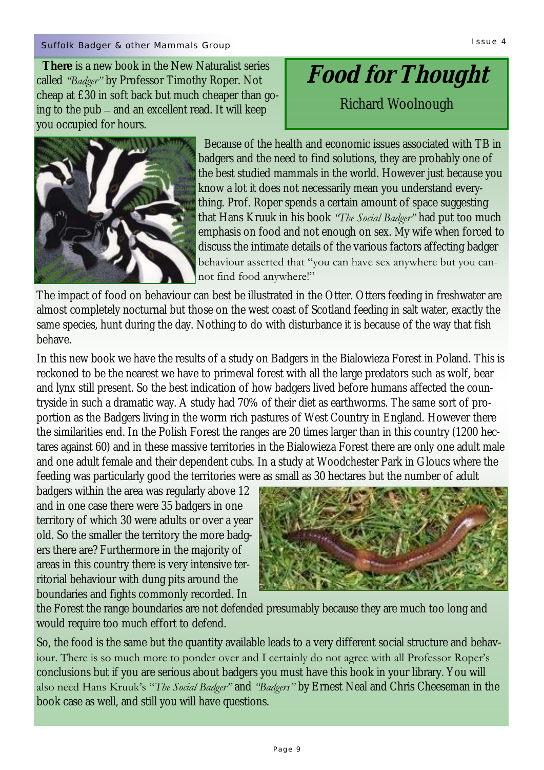## Suffolk Badger & other Mammals Group I summation of the United States of the United States of the International

 **There** is a new book in the New Naturalist series called *"Badger"* by Professor Timothy Roper. Not cheap at £30 in soft back but much cheaper than going to the pub – and an excellent read. It will keep you occupied for hours.

 Because of the health and economic issues associated with TB in badgers and the need to find solutions, they are probably one of the best studied mammals in the world. However just because you know a lot it does not necessarily mean you understand everything. Prof. Roper spends a certain amount of space suggesting that Hans Kruuk in his book *"The Social Badger"* had put too much emphasis on food and not enough on sex. My wife when forced to discuss the intimate details of the various factors affecting badger behaviour asserted that "you can have sex anywhere but you cannot find food anywhere!"

The impact of food on behaviour can best be illustrated in the Otter. Otters feeding in freshwater are almost completely nocturnal but those on the west coast of Scotland feeding in salt water, exactly the same species, hunt during the day. Nothing to do with disturbance it is because of the way that fish behave.

In this new book we have the results of a study on Badgers in the Bialowieza Forest in Poland. This is reckoned to be the nearest we have to primeval forest with all the large predators such as wolf, bear and lynx still present. So the best indication of how badgers lived before humans affected the countryside in such a dramatic way. A study had 70% of their diet as earthworms. The same sort of proportion as the Badgers living in the worm rich pastures of West Country in England. However there the similarities end. In the Polish Forest the ranges are 20 times larger than in this country (1200 hectares against 60) and in these massive territories in the Bialowieza Forest there are only one adult male and one adult female and their dependent cubs. In a study at Woodchester Park in Gloucs where the feeding was particularly good the territories were as small as 30 hectares but the number of adult

badgers within the area was regularly above 12 and in one case there were 35 badgers in one territory of which 30 were adults or over a year old. So the smaller the territory the more badgers there are? Furthermore in the majority of areas in this country there is very intensive territorial behaviour with dung pits around the boundaries and fights commonly recorded. In

the Forest the range boundaries are not defended presumably because they are much too long and would require too much effort to defend.

So, the food is the same but the quantity available leads to a very different social structure and behaviour. There is so much more to ponder over and I certainly do not agree with all Professor Roper's conclusions but if you are serious about badgers you must have this book in your library. You will also need Hans Kruuk"s "*The Social Badger"* and *"Badgers"* by Ernest Neal and Chris Cheeseman in the book case as well, and still you will have questions.



# **Food for Thought**

Richard Woolnough